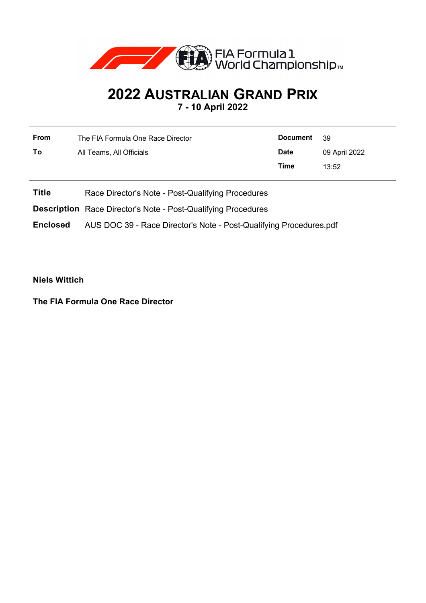

## **2022 AUSTRALIAN GRAND PRIX 7 - 10 April 2022**

**From** The FIA Formula One Race Director **To** All Teams, All Officials **Document** 39 **Date** 09 April 2022 **Time** 13:52

**Title** Race Director's Note - Post-Qualifying Procedures

**Description** Race Director's Note - Post-Qualifying Procedures

**Enclosed** AUS DOC 39 - Race Director's Note - Post-Qualifying Procedures.pdf

**Niels Wittich**

**The FIA Formula One Race Director**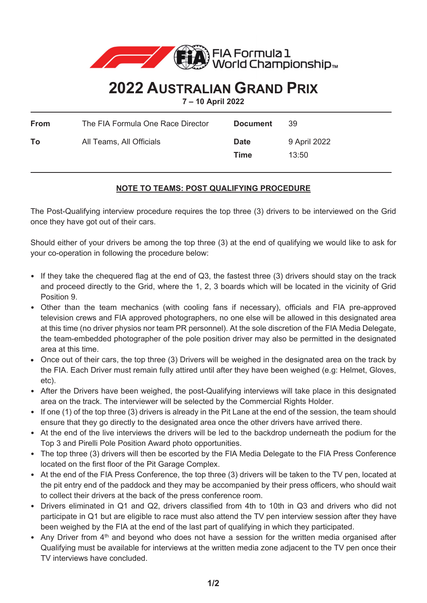

## **2022 AUSTRALIAN GRAND PRIX**

**7 – 10 April 2022**

 $\overline{\phantom{0}}$ 

| From | The FIA Formula One Race Director | <b>Document</b>     | -39                   |
|------|-----------------------------------|---------------------|-----------------------|
| То   | All Teams, All Officials          | <b>Date</b><br>Time | 9 April 2022<br>13:50 |

## **NOTE TO TEAMS: POST QUALIFYING PROCEDURE**

The Post-Qualifying interview procedure requires the top three (3) drivers to be interviewed on the Grid once they have got out of their cars.

Should either of your drivers be among the top three (3) at the end of qualifying we would like to ask for your co-operation in following the procedure below:

- If they take the chequered flag at the end of Q3, the fastest three (3) drivers should stay on the track and proceed directly to the Grid, where the 1, 2, 3 boards which will be located in the vicinity of Grid Position 9.
- Other than the team mechanics (with cooling fans if necessary), officials and FIA pre-approved television crews and FIA approved photographers, no one else will be allowed in this designated area at this time (no driver physios nor team PR personnel). At the sole discretion of the FIA Media Delegate, the team-embedded photographer of the pole position driver may also be permitted in the designated area at this time.
- Once out of their cars, the top three (3) Drivers will be weighed in the designated area on the track by the FIA. Each Driver must remain fully attired until after they have been weighed (e.g: Helmet, Gloves, etc).
- After the Drivers have been weighed, the post-Qualifying interviews will take place in this designated area on the track. The interviewer will be selected by the Commercial Rights Holder.
- If one (1) of the top three (3) drivers is already in the Pit Lane at the end of the session, the team should ensure that they go directly to the designated area once the other drivers have arrived there.
- At the end of the live interviews the drivers will be led to the backdrop underneath the podium for the Top 3 and Pirelli Pole Position Award photo opportunities.
- The top three (3) drivers will then be escorted by the FIA Media Delegate to the FIA Press Conference located on the first floor of the Pit Garage Complex.
- At the end of the FIA Press Conference, the top three (3) drivers will be taken to the TV pen, located at the pit entry end of the paddock and they may be accompanied by their press officers, who should wait to collect their drivers at the back of the press conference room.
- Drivers eliminated in Q1 and Q2, drivers classified from 4th to 10th in Q3 and drivers who did not participate in Q1 but are eligible to race must also attend the TV pen interview session after they have been weighed by the FIA at the end of the last part of qualifying in which they participated.
- Any Driver from 4<sup>th</sup> and beyond who does not have a session for the written media organised after Qualifying must be available for interviews at the written media zone adjacent to the TV pen once their TV interviews have concluded.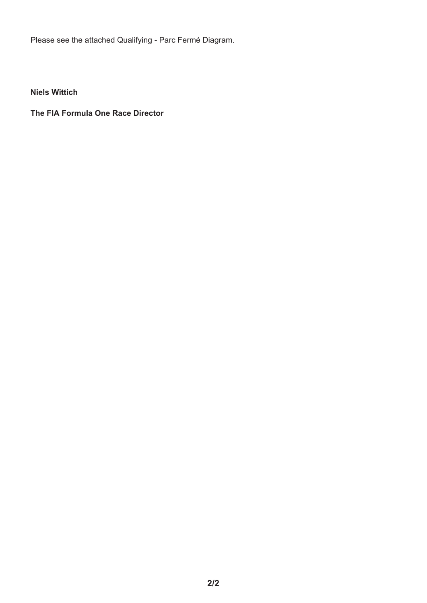Please see the attached Qualifying - Parc Fermé Diagram.

**Niels Wittich** 

**The FIA Formula One Race Director**